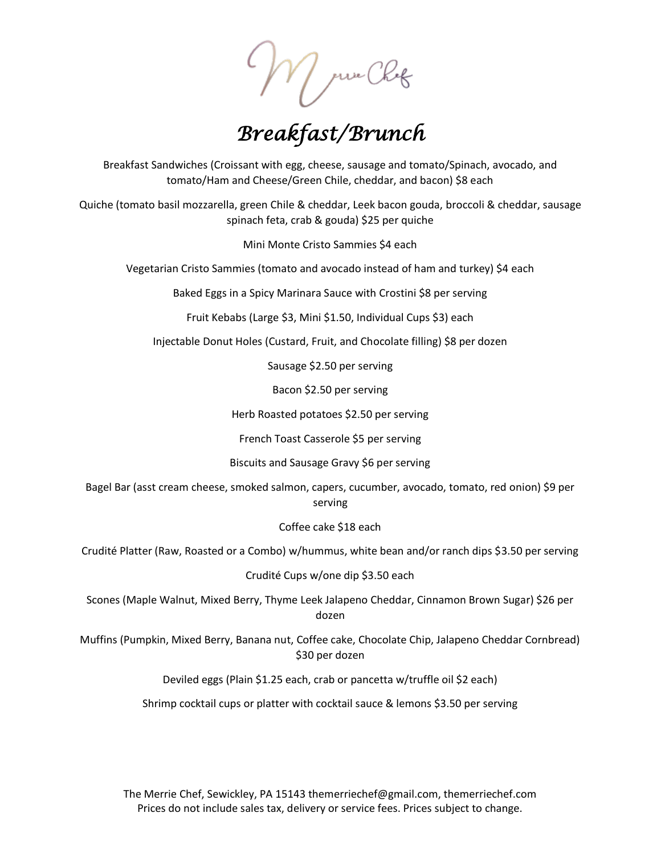*Breakfast/Brunch* 

Breakfast Sandwiches (Croissant with egg, cheese, sausage and tomato/Spinach, avocado, and tomato/Ham and Cheese/Green Chile, cheddar, and bacon) \$8 each

Quiche (tomato basil mozzarella, green Chile & cheddar, Leek bacon gouda, broccoli & cheddar, sausage spinach feta, crab & gouda) \$25 per quiche

Mini Monte Cristo Sammies \$4 each

Vegetarian Cristo Sammies (tomato and avocado instead of ham and turkey) \$4 each

Baked Eggs in a Spicy Marinara Sauce with Crostini \$8 per serving

Fruit Kebabs (Large \$3, Mini \$1.50, Individual Cups \$3) each

Injectable Donut Holes (Custard, Fruit, and Chocolate filling) \$8 per dozen

Sausage \$2.50 per serving

Bacon \$2.50 per serving

Herb Roasted potatoes \$2.50 per serving

French Toast Casserole \$5 per serving

Biscuits and Sausage Gravy \$6 per serving

Bagel Bar (asst cream cheese, smoked salmon, capers, cucumber, avocado, tomato, red onion) \$9 per serving

Coffee cake \$18 each

Crudité Platter (Raw, Roasted or a Combo) w/hummus, white bean and/or ranch dips \$3.50 per serving

Crudité Cups w/one dip \$3.50 each

Scones (Maple Walnut, Mixed Berry, Thyme Leek Jalapeno Cheddar, Cinnamon Brown Sugar) \$26 per dozen

Muffins (Pumpkin, Mixed Berry, Banana nut, Coffee cake, Chocolate Chip, Jalapeno Cheddar Cornbread) \$30 per dozen

Deviled eggs (Plain \$1.25 each, crab or pancetta w/truffle oil \$2 each)

Shrimp cocktail cups or platter with cocktail sauce & lemons \$3.50 per serving

The Merrie Chef, Sewickley, PA 15143 themerriechef@gmail.com, themerriechef.com Prices do not include sales tax, delivery or service fees. Prices subject to change.